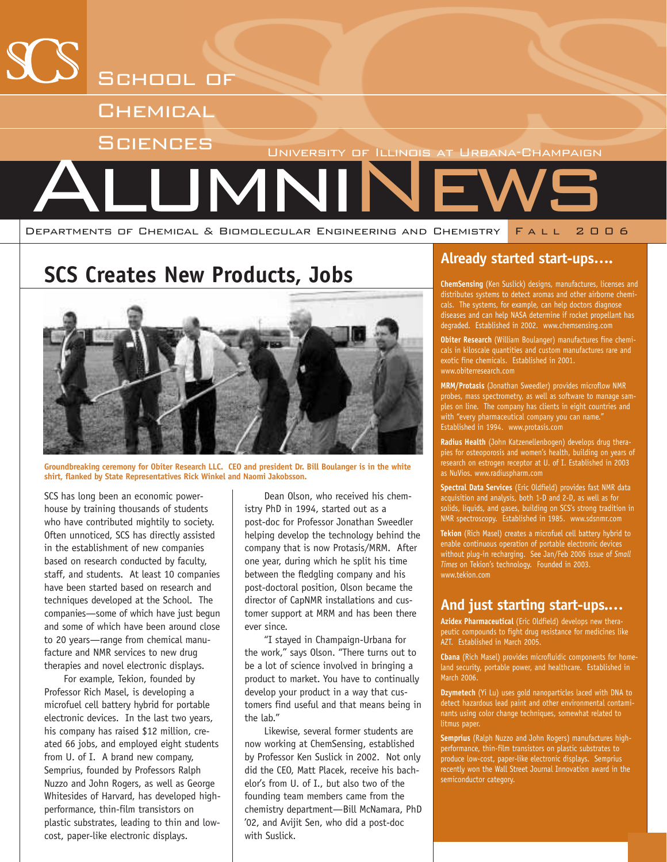

### **SCS Creates New Products, Jobs**



**Groundbreaking ceremony for Obiter Research LLC. CEO and president Dr. Bill Boulanger is in the white shirt, flanked by State Representatives Rick Winkel and Naomi Jakobsson.**

SCS has long been an economic powerhouse by training thousands of students who have contributed mightily to society. Often unnoticed, SCS has directly assisted in the establishment of new companies based on research conducted by faculty, staff, and students. At least 10 companies have been started based on research and techniques developed at the School. The companies—some of which have just begun and some of which have been around close to 20 years—range from chemical manufacture and NMR services to new drug therapies and novel electronic displays.

For example, Tekion, founded by Professor Rich Masel, is developing a microfuel cell battery hybrid for portable electronic devices. In the last two years, his company has raised \$12 million, created 66 jobs, and employed eight students from U. of I. A brand new company, Semprius, founded by Professors Ralph Nuzzo and John Rogers, as well as George Whitesides of Harvard, has developed highperformance, thin-film transistors on plastic substrates, leading to thin and lowcost, paper-like electronic displays.

Dean Olson, who received his chemistry PhD in 1994, started out as a post-doc for Professor Jonathan Sweedler helping develop the technology behind the company that is now Protasis/MRM. After one year, during which he split his time between the fledgling company and his post-doctoral position, Olson became the director of CapNMR installations and customer support at MRM and has been there ever since.

"I stayed in Champaign-Urbana for the work," says Olson. "There turns out to be a lot of science involved in bringing a product to market. You have to continually develop your product in a way that customers find useful and that means being in the lab."

Likewise, several former students are now working at ChemSensing, established by Professor Ken Suslick in 2002. Not only did the CEO, Matt Placek, receive his bachelor's from U. of I., but also two of the founding team members came from the chemistry department—Bill McNamara, PhD '02, and Avijit Sen, who did a post-doc with Suslick.

#### **Already started start-ups….**

**ChemSensing** (Ken Suslick) designs, manufactures, licenses and distributes systems to detect aromas and other airborne chemicals. The systems, for example, can help doctors diagnose diseases and can help NASA determine if rocket propellant has degraded. Established in 2002. www.chemsensing.com

**Obiter Research** (William Boulanger) manufactures fine chemicals in kiloscale quantities and custom manufactures rare and exotic fine chemicals. Established in 2001. www.obiterresearch.com

**MRM/Protasis** (Jonathan Sweedler) provides microflow NMR probes, mass spectrometry, as well as software to manage samples on line. The company has clients in eight countries and with "every pharmaceutical company you can name." Established in 1994. www.protasis.com

**Radius Health** (John Katzenellenbogen) develops drug therapies for osteoporosis and women's health, building on years of research on estrogen receptor at U. of I. Established in 2003 as NuVios. www.radiuspharm.com

**Spectral Data Services** (Eric Oldfield) provides fast NMR data acquisition and analysis, both 1-D and 2-D, as well as for solids, liquids, and gases, building on SCS's strong tradition in NMR spectroscopy. Established in 1985. www.sdsnmr.com

**Tekion** (Rich Masel) creates a microfuel cell battery hybrid to enable continuous operation of portable electronic devices without plug-in recharging. See Jan/Feb 2006 issue of *Small Times* on Tekion's technology. Founded in 2003. www.tekion.com

#### **And just starting start-ups.…**

**Azidex Pharmaceutical** (Eric Oldfield) develops new therapeutic compounds to fight drug resistance for medicines like AZT. Established in March 2005.

**Cbana** (Rich Masel) provides microfluidic components for homeland security, portable power, and healthcare. Established in March 2006.

**Dzymetech** (Yi Lu) uses gold nanoparticles laced with DNA to detect hazardous lead paint and other environmental contaminants using color change techniques, somewhat related to litmus paper.

**Semprius** (Ralph Nuzzo and John Rogers) manufactures highperformance, thin-film transistors on plastic substrates to produce low-cost, paper-like electronic displays. Semprius recently won the Wall Street Journal Innovation award in the semiconductor category.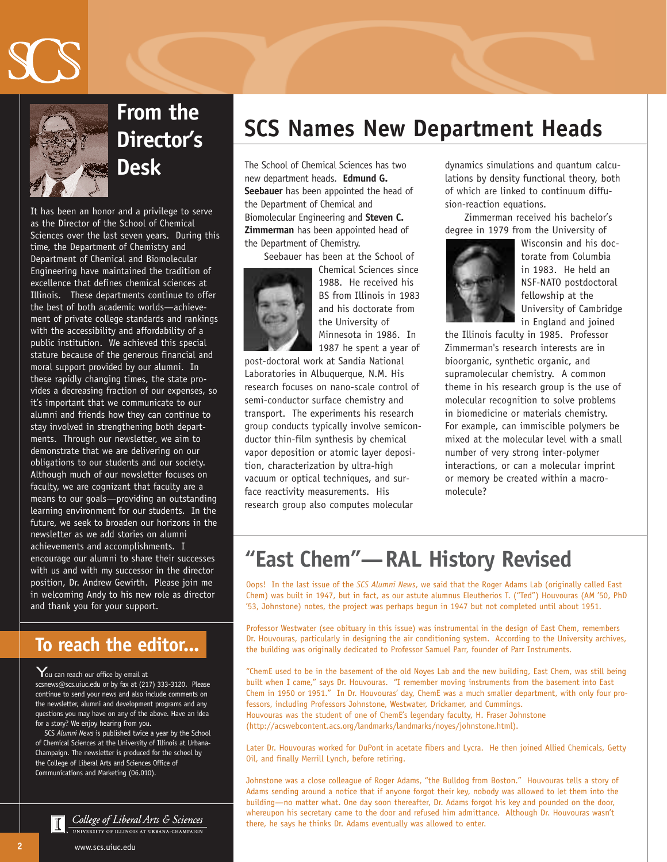



# **Director's Desk**

It has been an honor and a privilege to serve as the Director of the School of Chemical Sciences over the last seven years. During this time, the Department of Chemistry and Department of Chemical and Biomolecular Engineering have maintained the tradition of excellence that defines chemical sciences at Illinois. These departments continue to offer the best of both academic worlds—achievement of private college standards and rankings with the accessibility and affordability of a public institution. We achieved this special stature because of the generous financial and moral support provided by our alumni. In these rapidly changing times, the state provides a decreasing fraction of our expenses, so it's important that we communicate to our alumni and friends how they can continue to stay involved in strengthening both departments. Through our newsletter, we aim to demonstrate that we are delivering on our obligations to our students and our society. Although much of our newsletter focuses on faculty, we are cognizant that faculty are a means to our goals—providing an outstanding learning environment for our students. In the future, we seek to broaden our horizons in the newsletter as we add stories on alumni achievements and accomplishments. I encourage our alumni to share their successes with us and with my successor in the director position, Dr. Andrew Gewirth. Please join me in welcoming Andy to his new role as director and thank you for your support.

#### **To reach the editor...**

You can reach our office by email at scsnews@scs.uiuc.edu or by fax at (217) 333-3120. Please continue to send your news and also include comments on the newsletter, alumni and development programs and any questions you may have on any of the above. Have an idea for a story? We enjoy hearing from you.

SCS *Alumni News* is published twice a year by the School of Chemical Sciences at the University of Illinois at Urbana-Champaign. The newsletter is produced for the school by the College of Liberal Arts and Sciences Office of Communications and Marketing (06.010).

> College of Liberal Arts & Sciences UNIVERSITY OF ILLINOIS AT URBANA-CHAMPAIGN

# **From the SCS Names New Department Heads**

The School of Chemical Sciences has two new department heads. **Edmund G. Seebauer** has been appointed the head of the Department of Chemical and Biomolecular Engineering and **Steven C. Zimmerman** has been appointed head of the Department of Chemistry.

Seebauer has been at the School of



Chemical Sciences since 1988. He received his BS from Illinois in 1983 and his doctorate from the University of Minnesota in 1986. In 1987 he spent a year of

post-doctoral work at Sandia National Laboratories in Albuquerque, N.M. His research focuses on nano-scale control of semi-conductor surface chemistry and transport. The experiments his research group conducts typically involve semiconductor thin-film synthesis by chemical vapor deposition or atomic layer deposition, characterization by ultra-high vacuum or optical techniques, and surface reactivity measurements. His research group also computes molecular

dynamics simulations and quantum calculations by density functional theory, both of which are linked to continuum diffusion-reaction equations.

Zimmerman received his bachelor's degree in 1979 from the University of



Wisconsin and his doctorate from Columbia in 1983. He held an NSF-NATO postdoctoral fellowship at the University of Cambridge in England and joined

the Illinois faculty in 1985. Professor Zimmerman's research interests are in bioorganic, synthetic organic, and supramolecular chemistry. A common theme in his research group is the use of molecular recognition to solve problems in biomedicine or materials chemistry. For example, can immiscible polymers be mixed at the molecular level with a small number of very strong inter-polymer interactions, or can a molecular imprint or memory be created within a macromolecule?

### **"East Chem"—RAL History Revised**

Oops! In the last issue of the *SCS Alumni News*, we said that the Roger Adams Lab (originally called East Chem) was built in 1947, but in fact, as our astute alumnus Eleutherios T. ("Ted") Houvouras (AM '50, PhD '53, Johnstone) notes, the project was perhaps begun in 1947 but not completed until about 1951.

Professor Westwater (see obituary in this issue) was instrumental in the design of East Chem, remembers Dr. Houvouras, particularly in designing the air conditioning system. According to the University archives, the building was originally dedicated to Professor Samuel Parr, founder of Parr Instruments.

"ChemE used to be in the basement of the old Noyes Lab and the new building, East Chem, was still being built when I came," says Dr. Houvouras. "I remember moving instruments from the basement into East Chem in 1950 or 1951." In Dr. Houvouras' day, ChemE was a much smaller department, with only four professors, including Professors Johnstone, Westwater, Drickamer, and Cummings. Houvouras was the student of one of ChemE's legendary faculty, H. Fraser Johnstone (http://acswebcontent.acs.org/landmarks/landmarks/noyes/johnstone.html).

Later Dr. Houvouras worked for DuPont in acetate fibers and Lycra. He then joined Allied Chemicals, Getty Oil, and finally Merrill Lynch, before retiring.

Johnstone was a close colleague of Roger Adams, "the Bulldog from Boston." Houvouras tells a story of Adams sending around a notice that if anyone forgot their key, nobody was allowed to let them into the building—no matter what. One day soon thereafter, Dr. Adams forgot his key and pounded on the door, whereupon his secretary came to the door and refused him admittance. Although Dr. Houvouras wasn't there, he says he thinks Dr. Adams eventually was allowed to enter.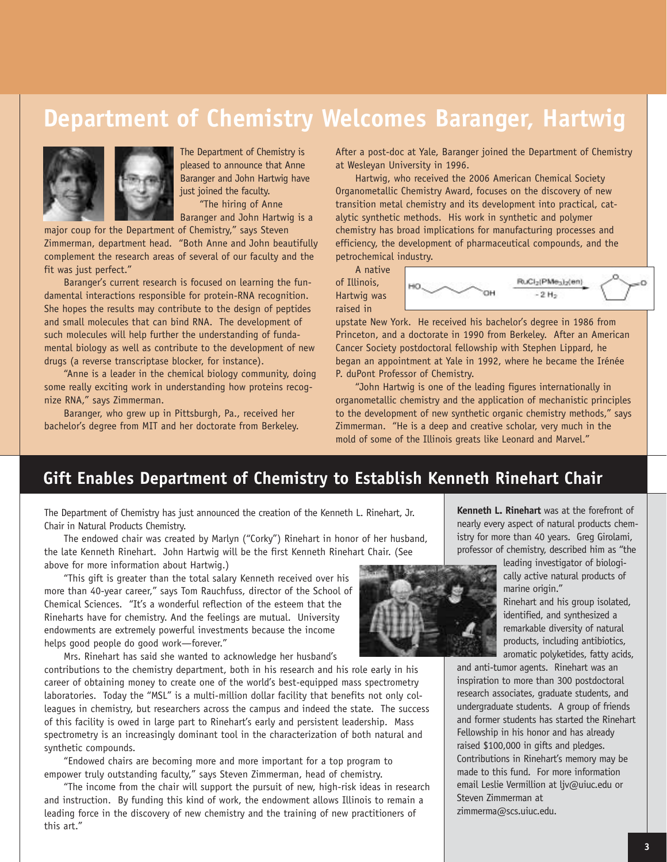### **Department of Chemistry Welcomes Baranger, Hartwig**



The Department of Chemistry is pleased to announce that Anne Baranger and John Hartwig have just joined the faculty.

"The hiring of Anne Baranger and John Hartwig is a

major coup for the Department of Chemistry," says Steven Zimmerman, department head. "Both Anne and John beautifully complement the research areas of several of our faculty and the fit was just perfect."

Baranger's current research is focused on learning the fundamental interactions responsible for protein-RNA recognition. She hopes the results may contribute to the design of peptides and small molecules that can bind RNA. The development of such molecules will help further the understanding of fundamental biology as well as contribute to the development of new drugs (a reverse transcriptase blocker, for instance).

"Anne is a leader in the chemical biology community, doing some really exciting work in understanding how proteins recognize RNA," says Zimmerman.

Baranger, who grew up in Pittsburgh, Pa., received her bachelor's degree from MIT and her doctorate from Berkeley. After a post-doc at Yale, Baranger joined the Department of Chemistry at Wesleyan University in 1996.

Hartwig, who received the 2006 American Chemical Society Organometallic Chemistry Award, focuses on the discovery of new transition metal chemistry and its development into practical, catalytic synthetic methods. His work in synthetic and polymer chemistry has broad implications for manufacturing processes and efficiency, the development of pharmaceutical compounds, and the petrochemical industry.

A native of Illinois, Hartwig was raised in



upstate New York. He received his bachelor's degree in 1986 from Princeton, and a doctorate in 1990 from Berkeley. After an American Cancer Society postdoctoral fellowship with Stephen Lippard, he began an appointment at Yale in 1992, where he became the Irénée P. duPont Professor of Chemistry.

"John Hartwig is one of the leading figures internationally in organometallic chemistry and the application of mechanistic principles to the development of new synthetic organic chemistry methods," says Zimmerman. "He is a deep and creative scholar, very much in the mold of some of the Illinois greats like Leonard and Marvel."

#### **Gift Enables Department of Chemistry to Establish Kenneth Rinehart Chair**

The Department of Chemistry has just announced the creation of the Kenneth L. Rinehart, Jr. Chair in Natural Products Chemistry.

The endowed chair was created by Marlyn ("Corky") Rinehart in honor of her husband, the late Kenneth Rinehart. John Hartwig will be the first Kenneth Rinehart Chair. (See above for more information about Hartwig.)

"This gift is greater than the total salary Kenneth received over his more than 40-year career," says Tom Rauchfuss, director of the School of Chemical Sciences. "It's a wonderful reflection of the esteem that the Rineharts have for chemistry. And the feelings are mutual. University endowments are extremely powerful investments because the income helps good people do good work—forever."

Mrs. Rinehart has said she wanted to acknowledge her husband's

contributions to the chemistry department, both in his research and his role early in his career of obtaining money to create one of the world's best-equipped mass spectrometry laboratories. Today the "MSL" is a multi-million dollar facility that benefits not only colleagues in chemistry, but researchers across the campus and indeed the state. The success of this facility is owed in large part to Rinehart's early and persistent leadership. Mass spectrometry is an increasingly dominant tool in the characterization of both natural and synthetic compounds.

"Endowed chairs are becoming more and more important for a top program to empower truly outstanding faculty," says Steven Zimmerman, head of chemistry.

"The income from the chair will support the pursuit of new, high-risk ideas in research and instruction. By funding this kind of work, the endowment allows Illinois to remain a leading force in the discovery of new chemistry and the training of new practitioners of this art."

nearly every aspect of natural products chemistry for more than 40 years. Greg Girolami, professor of chemistry, described him as "the leading investigator of biologi-

**Kenneth L. Rinehart** was at the forefront of

cally active natural products of marine origin."

Rinehart and his group isolated, identified, and synthesized a remarkable diversity of natural products, including antibiotics, aromatic polyketides, fatty acids,

and anti-tumor agents. Rinehart was an inspiration to more than 300 postdoctoral research associates, graduate students, and undergraduate students. A group of friends and former students has started the Rinehart Fellowship in his honor and has already raised \$100,000 in gifts and pledges. Contributions in Rinehart's memory may be made to this fund. For more information email Leslie Vermillion at ljv@uiuc.edu or Steven Zimmerman at zimmerma@scs.uiuc.edu.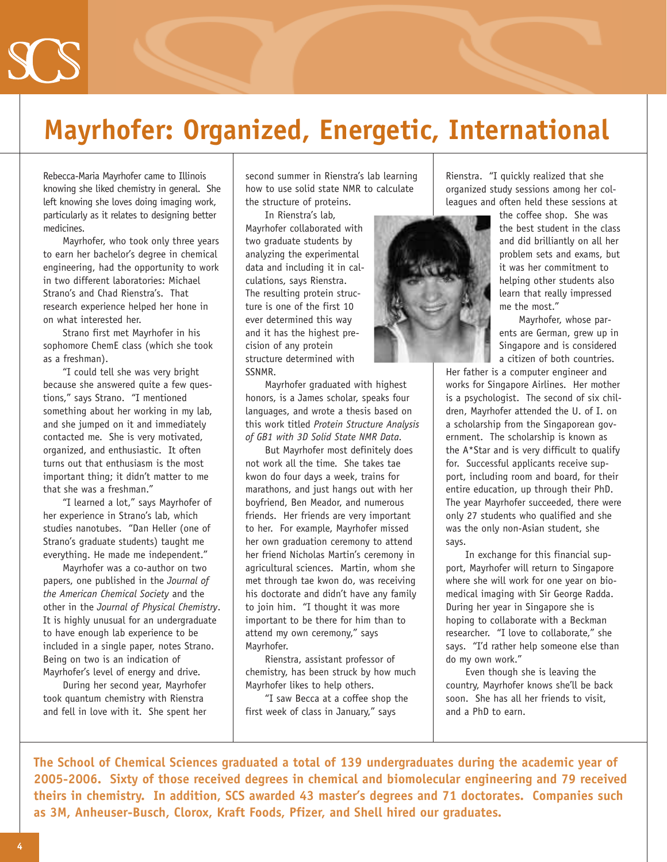## **Mayrhofer: Organized, Energetic, International**

Rebecca-Maria Mayrhofer came to Illinois knowing she liked chemistry in general. She left knowing she loves doing imaging work, particularly as it relates to designing better medicines.

Mayrhofer, who took only three years to earn her bachelor's degree in chemical engineering, had the opportunity to work in two different laboratories: Michael Strano's and Chad Rienstra's. That research experience helped her hone in on what interested her.

Strano first met Mayrhofer in his sophomore ChemE class (which she took as a freshman).

"I could tell she was very bright because she answered quite a few questions," says Strano. "I mentioned something about her working in my lab, and she jumped on it and immediately contacted me. She is very motivated, organized, and enthusiastic. It often turns out that enthusiasm is the most important thing; it didn't matter to me that she was a freshman."

"I learned a lot," says Mayrhofer of her experience in Strano's lab, which studies nanotubes. "Dan Heller (one of Strano's graduate students) taught me everything. He made me independent."

Mayrhofer was a co-author on two papers, one published in the *Journal of the American Chemical Society* and the other in the *Journal of Physical Chemistry*. It is highly unusual for an undergraduate to have enough lab experience to be included in a single paper, notes Strano. Being on two is an indication of Mayrhofer's level of energy and drive.

During her second year, Mayrhofer took quantum chemistry with Rienstra and fell in love with it. She spent her

second summer in Rienstra's lab learning how to use solid state NMR to calculate the structure of proteins.

In Rienstra's lab, Mayrhofer collaborated with two graduate students by analyzing the experimental data and including it in calculations, says Rienstra. The resulting protein structure is one of the first 10 ever determined this way and it has the highest precision of any protein structure determined with SSNMR.

Mayrhofer graduated with highest honors, is a James scholar, speaks four languages, and wrote a thesis based on this work titled *Protein Structure Analysis of GB1 with 3D Solid State NMR Data.*

But Mayrhofer most definitely does not work all the time. She takes tae kwon do four days a week, trains for marathons, and just hangs out with her boyfriend, Ben Meador, and numerous friends. Her friends are very important to her. For example, Mayrhofer missed her own graduation ceremony to attend her friend Nicholas Martin's ceremony in agricultural sciences. Martin, whom she met through tae kwon do, was receiving his doctorate and didn't have any family to join him. "I thought it was more important to be there for him than to attend my own ceremony," says Mayrhofer.

Rienstra, assistant professor of chemistry, has been struck by how much Mayrhofer likes to help others.

"I saw Becca at a coffee shop the first week of class in January," says

Rienstra. "I quickly realized that she organized study sessions among her colleagues and often held these sessions at

the coffee shop. She was the best student in the class and did brilliantly on all her problem sets and exams, but it was her commitment to helping other students also learn that really impressed me the most."

Mayrhofer, whose parents are German, grew up in Singapore and is considered a citizen of both countries.

Her father is a computer engineer and works for Singapore Airlines. Her mother is a psychologist. The second of six children, Mayrhofer attended the U. of I. on a scholarship from the Singaporean government. The scholarship is known as the A\*Star and is very difficult to qualify for. Successful applicants receive support, including room and board, for their entire education, up through their PhD. The year Mayrhofer succeeded, there were only 27 students who qualified and she was the only non-Asian student, she says.

In exchange for this financial support, Mayrhofer will return to Singapore where she will work for one year on biomedical imaging with Sir George Radda. During her year in Singapore she is hoping to collaborate with a Beckman researcher. "I love to collaborate," she says. "I'd rather help someone else than do my own work."

Even though she is leaving the country, Mayrhofer knows she'll be back soon. She has all her friends to visit, and a PhD to earn.

**The School of Chemical Sciences graduated a total of 139 undergraduates during the academic year of 2005-2006. Sixty of those received degrees in chemical and biomolecular engineering and 79 received theirs in chemistry. In addition, SCS awarded 43 master's degrees and 71 doctorates. Companies such as 3M, Anheuser-Busch, Clorox, Kraft Foods, Pfizer, and Shell hired our graduates.**

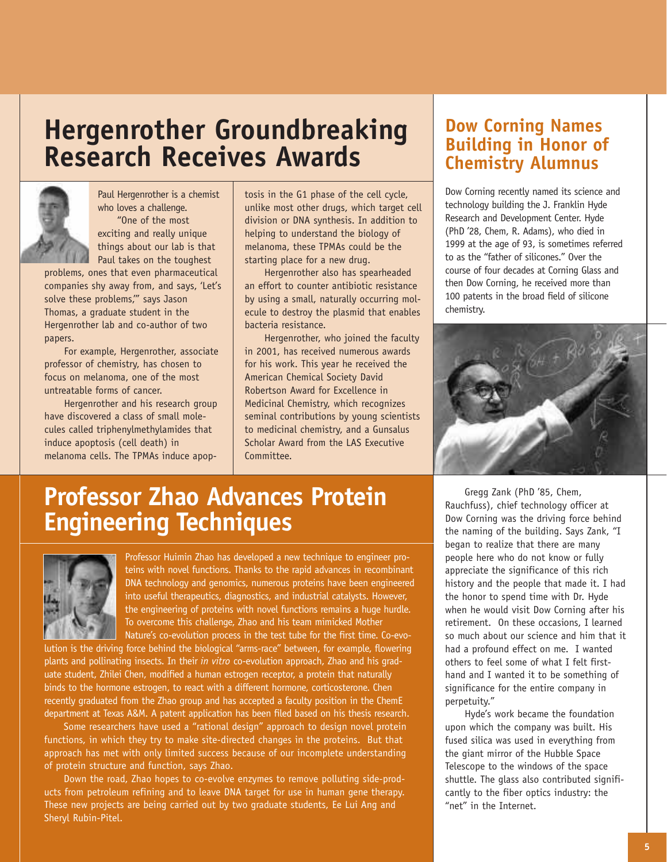## **Hergenrother Groundbreaking Research Receives Awards**



Paul Hergenrother is a chemist who loves a challenge. "One of the most exciting and really unique things about our lab is that Paul takes on the toughest

problems, ones that even pharmaceutical companies shy away from, and says, 'Let's solve these problems,'" says Jason Thomas, a graduate student in the Hergenrother lab and co-author of two papers.

For example, Hergenrother, associate professor of chemistry, has chosen to focus on melanoma, one of the most untreatable forms of cancer.

Hergenrother and his research group have discovered a class of small molecules called triphenylmethylamides that induce apoptosis (cell death) in melanoma cells. The TPMAs induce apop-

tosis in the G1 phase of the cell cycle, unlike most other drugs, which target cell division or DNA synthesis. In addition to helping to understand the biology of melanoma, these TPMAs could be the starting place for a new drug.

Hergenrother also has spearheaded an effort to counter antibiotic resistance by using a small, naturally occurring molecule to destroy the plasmid that enables bacteria resistance.

Hergenrother, who joined the faculty in 2001, has received numerous awards for his work. This year he received the American Chemical Society David Robertson Award for Excellence in Medicinal Chemistry, which recognizes seminal contributions by young scientists to medicinal chemistry, and a Gunsalus Scholar Award from the LAS Executive Committee.

#### **Dow Corning Names Building in Honor of Chemistry Alumnus**

Dow Corning recently named its science and technology building the J. Franklin Hyde Research and Development Center. Hyde (PhD '28, Chem, R. Adams), who died in 1999 at the age of 93, is sometimes referred to as the "father of silicones." Over the course of four decades at Corning Glass and then Dow Corning, he received more than 100 patents in the broad field of silicone chemistry.



### **Professor Zhao Advances Protein Engineering Techniques**



Professor Huimin Zhao has developed a new technique to engineer proteins with novel functions. Thanks to the rapid advances in recombinant DNA technology and genomics, numerous proteins have been engineered into useful therapeutics, diagnostics, and industrial catalysts. However, the engineering of proteins with novel functions remains a huge hurdle. To overcome this challenge, Zhao and his team mimicked Mother Nature's co-evolution process in the test tube for the first time. Co-evo-

lution is the driving force behind the biological "arms-race" between, for example, flowering plants and pollinating insects. In their *in vitro* co-evolution approach, Zhao and his graduate student, Zhilei Chen, modified a human estrogen receptor, a protein that naturally binds to the hormone estrogen, to react with a different hormone, corticosterone. Chen recently graduated from the Zhao group and has accepted a faculty position in the ChemE department at Texas A&M. A patent application has been filed based on his thesis research.

Some researchers have used a "rational design" approach to design novel protein functions, in which they try to make site-directed changes in the proteins. But that approach has met with only limited success because of our incomplete understanding of protein structure and function, says Zhao.

Down the road, Zhao hopes to co-evolve enzymes to remove polluting side-products from petroleum refining and to leave DNA target for use in human gene therapy. These new projects are being carried out by two graduate students, Ee Lui Ang and Sheryl Rubin-Pitel.

Gregg Zank (PhD '85, Chem, Rauchfuss), chief technology officer at Dow Corning was the driving force behind the naming of the building. Says Zank, "I began to realize that there are many people here who do not know or fully appreciate the significance of this rich history and the people that made it. I had the honor to spend time with Dr. Hyde when he would visit Dow Corning after his retirement. On these occasions, I learned so much about our science and him that it had a profound effect on me. I wanted others to feel some of what I felt firsthand and I wanted it to be something of significance for the entire company in perpetuity."

Hyde's work became the foundation upon which the company was built. His fused silica was used in everything from the giant mirror of the Hubble Space Telescope to the windows of the space shuttle. The glass also contributed significantly to the fiber optics industry: the "net" in the Internet.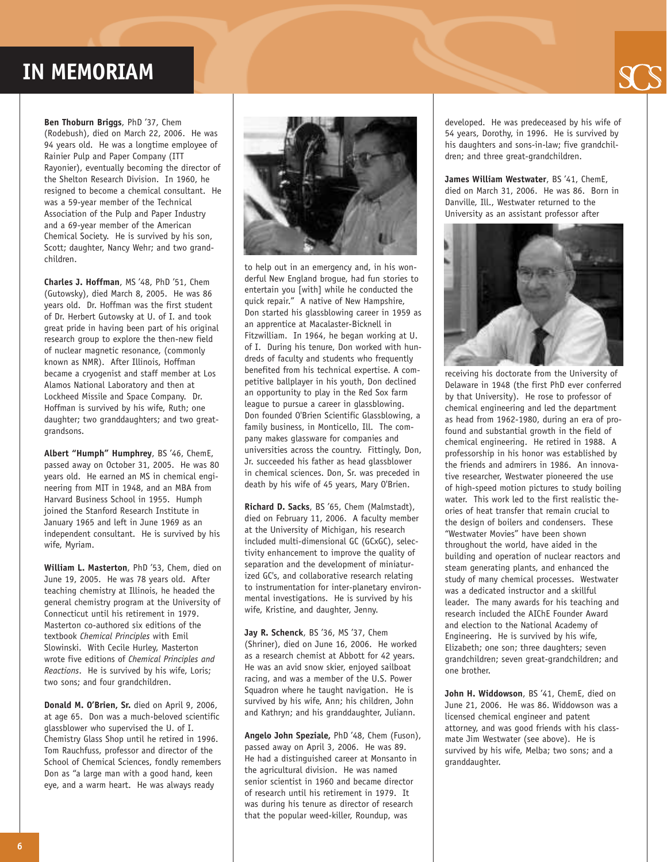### **IN MEMORIAM**



**Ben Thoburn Briggs**, PhD '37, Chem (Rodebush), died on March 22, 2006. He was 94 years old. He was a longtime employee of Rainier Pulp and Paper Company (ITT Rayonier), eventually becoming the director of the Shelton Research Division. In 1960, he resigned to become a chemical consultant. He was a 59-year member of the Technical Association of the Pulp and Paper Industry and a 69-year member of the American Chemical Society. He is survived by his son, Scott; daughter, Nancy Wehr; and two grandchildren.

**Charles J. Hoffman**, MS '48, PhD '51, Chem (Gutowsky), died March 8, 2005. He was 86 years old. Dr. Hoffman was the first student of Dr. Herbert Gutowsky at U. of I. and took great pride in having been part of his original research group to explore the then-new field of nuclear magnetic resonance, (commonly known as NMR). After Illinois, Hoffman became a cryogenist and staff member at Los Alamos National Laboratory and then at Lockheed Missile and Space Company. Dr. Hoffman is survived by his wife, Ruth; one daughter; two granddaughters; and two greatgrandsons.

**Albert "Humph" Humphrey**, BS '46, ChemE, passed away on October 31, 2005. He was 80 years old. He earned an MS in chemical engineering from MIT in 1948, and an MBA from Harvard Business School in 1955. Humph joined the Stanford Research Institute in January 1965 and left in June 1969 as an independent consultant. He is survived by his wife, Myriam.

**William L. Masterton**, PhD '53, Chem, died on June 19, 2005. He was 78 years old. After teaching chemistry at Illinois, he headed the general chemistry program at the University of Connecticut until his retirement in 1979. Masterton co-authored six editions of the textbook *Chemical Principles* with Emil Slowinski. With Cecile Hurley, Masterton wrote five editions of *Chemical Principles and Reactions*. He is survived by his wife, Loris; two sons; and four grandchildren.

**Donald M. O'Brien, Sr.** died on April 9, 2006, at age 65. Don was a much-beloved scientific glassblower who supervised the U. of I. Chemistry Glass Shop until he retired in 1996. Tom Rauchfuss, professor and director of the School of Chemical Sciences, fondly remembers Don as "a large man with a good hand, keen eye, and a warm heart. He was always ready



to help out in an emergency and, in his wonderful New England brogue, had fun stories to entertain you [with] while he conducted the quick repair." A native of New Hampshire, Don started his glassblowing career in 1959 as an apprentice at Macalaster-Bicknell in Fitzwilliam. In 1964, he began working at U. of I. During his tenure, Don worked with hundreds of faculty and students who frequently benefited from his technical expertise. A competitive ballplayer in his youth, Don declined an opportunity to play in the Red Sox farm league to pursue a career in glassblowing. Don founded O'Brien Scientific Glassblowing, a family business, in Monticello, Ill. The company makes glassware for companies and universities across the country. Fittingly, Don, Jr. succeeded his father as head glassblower in chemical sciences. Don, Sr. was preceded in death by his wife of 45 years, Mary O'Brien.

**Richard D. Sacks**, BS '65, Chem (Malmstadt), died on February 11, 2006. A faculty member at the University of Michigan, his research included multi-dimensional GC (GCxGC), selectivity enhancement to improve the quality of separation and the development of miniaturized GC's, and collaborative research relating to instrumentation for inter-planetary environmental investigations. He is survived by his wife, Kristine, and daughter, Jenny.

**Jay R. Schenck**, BS '36, MS '37, Chem (Shriner), died on June 16, 2006. He worked as a research chemist at Abbott for 42 years. He was an avid snow skier, enjoyed sailboat racing, and was a member of the U.S. Power Squadron where he taught navigation. He is survived by his wife, Ann; his children, John and Kathryn; and his granddaughter, Juliann.

**Angelo John Speziale,** PhD '48, Chem (Fuson), passed away on April 3, 2006. He was 89. He had a distinguished career at Monsanto in the agricultural division. He was named senior scientist in 1960 and became director of research until his retirement in 1979. It was during his tenure as director of research that the popular weed-killer, Roundup, was

developed. He was predeceased by his wife of 54 years, Dorothy, in 1996. He is survived by his daughters and sons-in-law; five grandchildren; and three great-grandchildren.

**James William Westwater**, BS '41, ChemE, died on March 31, 2006. He was 86. Born in Danville, Ill., Westwater returned to the University as an assistant professor after



receiving his doctorate from the University of Delaware in 1948 (the first PhD ever conferred by that University). He rose to professor of chemical engineering and led the department as head from 1962-1980, during an era of profound and substantial growth in the field of chemical engineering. He retired in 1988. A professorship in his honor was established by the friends and admirers in 1986. An innovative researcher, Westwater pioneered the use of high-speed motion pictures to study boiling water. This work led to the first realistic theories of heat transfer that remain crucial to the design of boilers and condensers. These "Westwater Movies" have been shown throughout the world, have aided in the building and operation of nuclear reactors and steam generating plants, and enhanced the study of many chemical processes. Westwater was a dedicated instructor and a skillful leader. The many awards for his teaching and research included the AIChE Founder Award and election to the National Academy of Engineering. He is survived by his wife, Elizabeth; one son; three daughters; seven grandchildren; seven great-grandchildren; and one brother.

**John H. Widdowson**, BS '41, ChemE, died on June 21, 2006. He was 86. Widdowson was a licensed chemical engineer and patent attorney, and was good friends with his classmate Jim Westwater (see above). He is survived by his wife, Melba; two sons; and a granddaughter.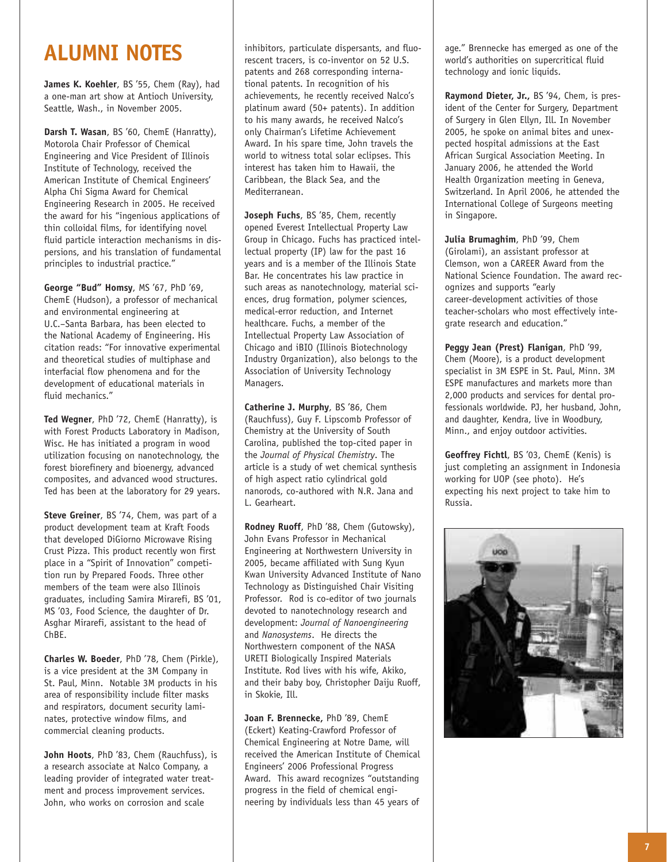### **ALUMNI NOTES**

**James K. Koehler**, BS '55, Chem (Ray), had a one-man art show at Antioch University, Seattle, Wash., in November 2005.

**Darsh T. Wasan**, BS '60, ChemE (Hanratty), Motorola Chair Professor of Chemical Engineering and Vice President of Illinois Institute of Technology, received the American Institute of Chemical Engineers' Alpha Chi Sigma Award for Chemical Engineering Research in 2005. He received the award for his "ingenious applications of thin colloidal films, for identifying novel fluid particle interaction mechanisms in dispersions, and his translation of fundamental principles to industrial practice."

**George "Bud" Homsy**, MS '67, PhD '69, ChemE (Hudson), a professor of mechanical and environmental engineering at U.C.–Santa Barbara, has been elected to the National Academy of Engineering. His citation reads: "For innovative experimental and theoretical studies of multiphase and interfacial flow phenomena and for the development of educational materials in fluid mechanics."

**Ted Wegner**, PhD '72, ChemE (Hanratty), is with Forest Products Laboratory in Madison, Wisc. He has initiated a program in wood utilization focusing on nanotechnology, the forest biorefinery and bioenergy, advanced composites, and advanced wood structures. Ted has been at the laboratory for 29 years.

**Steve Greiner**, BS '74, Chem, was part of a product development team at Kraft Foods that developed DiGiorno Microwave Rising Crust Pizza. This product recently won first place in a "Spirit of Innovation" competition run by Prepared Foods. Three other members of the team were also Illinois graduates, including Samira Mirarefi, BS '01, MS '03, Food Science, the daughter of Dr. Asghar Mirarefi, assistant to the head of ChBE.

**Charles W. Boeder**, PhD '78, Chem (Pirkle), is a vice president at the 3M Company in St. Paul, Minn. Notable 3M products in his area of responsibility include filter masks and respirators, document security laminates, protective window films, and commercial cleaning products.

**John Hoots**, PhD '83, Chem (Rauchfuss), is a research associate at Nalco Company, a leading provider of integrated water treatment and process improvement services. John, who works on corrosion and scale

inhibitors, particulate dispersants, and fluorescent tracers, is co-inventor on 52 U.S. patents and 268 corresponding international patents. In recognition of his achievements, he recently received Nalco's platinum award (50+ patents). In addition to his many awards, he received Nalco's only Chairman's Lifetime Achievement Award. In his spare time, John travels the world to witness total solar eclipses. This interest has taken him to Hawaii, the Caribbean, the Black Sea, and the Mediterranean.

**Joseph Fuchs**, BS '85, Chem, recently opened Everest Intellectual Property Law Group in Chicago. Fuchs has practiced intellectual property (IP) law for the past 16 years and is a member of the Illinois State Bar. He concentrates his law practice in such areas as nanotechnology, material sciences, drug formation, polymer sciences, medical-error reduction, and Internet healthcare. Fuchs, a member of the Intellectual Property Law Association of Chicago and iBIO (Illinois Biotechnology Industry Organization), also belongs to the Association of University Technology Managers.

**Catherine J. Murphy**, BS '86, Chem (Rauchfuss), Guy F. Lipscomb Professor of Chemistry at the University of South Carolina, published the top-cited paper in the *Journal of Physical Chemistry*. The article is a study of wet chemical synthesis of high aspect ratio cylindrical gold nanorods, co-authored with N.R. Jana and L. Gearheart.

**Rodney Ruoff**, PhD '88, Chem (Gutowsky), John Evans Professor in Mechanical Engineering at Northwestern University in 2005, became affiliated with Sung Kyun Kwan University Advanced Institute of Nano Technology as Distinguished Chair Visiting Professor. Rod is co-editor of two journals devoted to nanotechnology research and development: *Journal of Nanoengineering* and *Nanosystems*. He directs the Northwestern component of the NASA URETI Biologically Inspired Materials Institute. Rod lives with his wife, Akiko, and their baby boy, Christopher Daiju Ruoff, in Skokie, Ill.

**Joan F. Brennecke,** PhD '89, ChemE (Eckert) Keating-Crawford Professor of Chemical Engineering at Notre Dame, will received the American Institute of Chemical Engineers' 2006 Professional Progress Award. This award recognizes "outstanding progress in the field of chemical engineering by individuals less than 45 years of

age." Brennecke has emerged as one of the world's authorities on supercritical fluid technology and ionic liquids.

**Raymond Dieter, Jr.,** BS '94, Chem, is president of the Center for Surgery, Department of Surgery in Glen Ellyn, Ill. In November 2005, he spoke on animal bites and unexpected hospital admissions at the East African Surgical Association Meeting. In January 2006, he attended the World Health Organization meeting in Geneva, Switzerland. In April 2006, he attended the International College of Surgeons meeting in Singapore.

**Julia Brumaghim**, PhD '99, Chem (Girolami), an assistant professor at Clemson, won a CAREER Award from the National Science Foundation. The award recognizes and supports "early career-development activities of those teacher-scholars who most effectively integrate research and education."

**Peggy Jean (Prest) Flanigan**, PhD '99, Chem (Moore), is a product development specialist in 3M ESPE in St. Paul, Minn. 3M ESPE manufactures and markets more than 2,000 products and services for dental professionals worldwide. PJ, her husband, John, and daughter, Kendra, live in Woodbury, Minn., and enjoy outdoor activities.

**Geoffrey Fichtl**, BS '03, ChemE (Kenis) is just completing an assignment in Indonesia working for UOP (see photo). He's expecting his next project to take him to Russia.